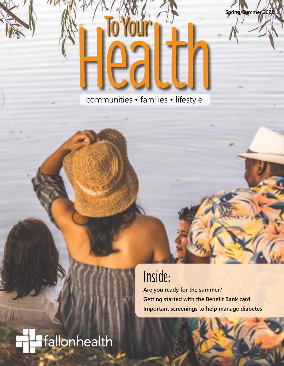

Health To Your communities • families • lifestyle

# Inside:

**Are you ready for the summer? Getting started with the Benefit Bank card Important screenings to help manage diabetes**

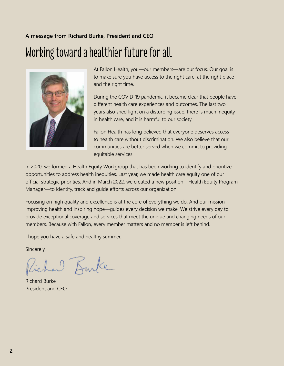### **A message from Richard Burke, President and CEO** Working toward a healthier future for all



At Fallon Health, you—our members—are our focus. Our goal is to make sure you have access to the right care, at the right place and the right time.

During the COVID-19 pandemic, it became clear that people have different health care experiences and outcomes. The last two years also shed light on a disturbing issue: there is much inequity in health care, and it is harmful to our society.

Fallon Health has long believed that everyone deserves access to health care without discrimination. We also believe that our communities are better served when we commit to providing equitable services.

In 2020, we formed a Health Equity Workgroup that has been working to identify and prioritize opportunities to address health inequities. Last year, we made health care equity one of our official strategic priorities. And in March 2022, we created a new position—Health Equity Program Manager—to identify, track and guide efforts across our organization.

Focusing on high quality and excellence is at the core of everything we do. And our mission improving health and inspiring hope—guides every decision we make. We strive every day to provide exceptional coverage and services that meet the unique and changing needs of our members. Because with Fallon, every member matters and no member is left behind.

I hope you have a safe and healthy summer.

Sincerely,

Richard Kurke

Richard Burke President and CEO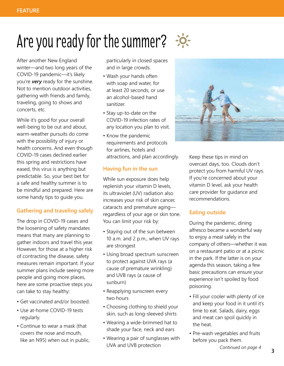# Are you ready for the summer?  $\div$

After another New England winter—and two long years of the COVID-19 pandemic—it's likely you're *very* ready for the sunshine. Not to mention outdoor activities, gathering with friends and family, traveling, going to shows and concerts, etc.

While it's good for your overall well-being to be out and about, warm-weather pursuits do come with the possibility of injury or health concerns. And even though COVID-19 cases declined earlier this spring and restrictions have eased, this virus is anything but predictable. So, your best bet for a safe and healthy summer is to be mindful and prepared. Here are some handy tips to guide you.

### **Gathering and traveling safely**

The drop in COVID-19 cases and the loosening of safety mandates means that many are planning to gather indoors and travel this year. However, for those at a higher risk of contracting the disease, safety measures remain important. If your summer plans include seeing more people and going more places, here are some proactive steps you can take to stay healthy:

- Get vaccinated and/or boosted.
- Use at-home COVID-19 tests regularly.
- Continue to wear a mask (that covers the nose and mouth, like an N95) when out in public,

particularly in closed spaces and in large crowds.

- Wash your hands often with soap and water, for at least 20 seconds, or use an alcohol-based hand sanitizer.
- Stay up-to-date on the COVID-19 infection rates of any location you plan to visit.
- Know the pandemic requirements and protocols for airlines, hotels and attractions, and plan accordingly.

### **Having fun in the sun**

While sun exposure does help replenish your vitamin D levels, its ultraviolet (UV) radiation also increases your risk of skin cancer, cataracts and premature aging regardless of your age or skin tone. You can limit your risk by:

- Staying out of the sun between 10 a.m. and 2 p.m., when UV rays are strongest
- Using broad spectrum sunscreen to protect against UVA rays (a cause of premature wrinkling) and UVB rays (a cause of sunburn)
- Reapplying sunscreen every two hours
- Choosing clothing to shield your skin, such as long-sleeved shirts
- Wearing a wide-brimmed hat to shade your face, neck and ears
- Wearing a pair of sunglasses with UVA and UVB protection



Keep these tips in mind on overcast days, too. Clouds don't protect you from harmful UV rays. If you're concerned about your vitamin D level, ask your health care provider for guidance and recommendations.

#### **Eating outside**

During the pandemic, dining alfresco became a wonderful way to enjoy a meal safely in the company of others—whether it was on a restaurant patio or at a picnic in the park. If the latter is on your agenda this season, taking a few basic precautions can ensure your experience isn't spoiled by food poisoning.

- Fill your cooler with plenty of ice and keep your food in it until it's time to eat. Salads, dairy, eggs and meat can spoil quickly in the heat.
- Pre-wash vegetables and fruits before you pack them.

*Continued on page 4*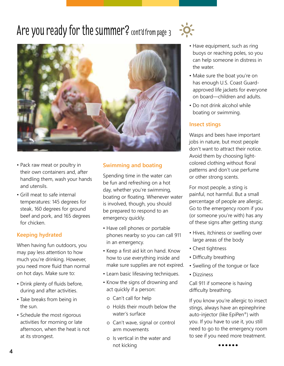### Are you ready for the summer?  $\frac{1}{2}$  cont'd from page 3  $\frac{1}{2}$



- Pack raw meat or poultry in their own containers and, after handling them, wash your hands and utensils.
- Grill meat to safe internal temperatures: 145 degrees for steak, 160 degrees for ground beef and pork, and 165 degrees for chicken.

### **Keeping hydrated**

When having fun outdoors, you may pay less attention to how much you're drinking. However, you need more fluid than normal on hot days. Make sure to:

- Drink plenty of fluids before, during and after activities.
- Take breaks from being in the sun.
- Schedule the most rigorous activities for morning or late afternoon, when the heat is not at its strongest.

### **Swimming and boating**

Spending time in the water can be fun and refreshing on a hot day, whether you're swimming, boating or floating. Whenever water is involved, though, you should be prepared to respond to an emergency quickly.

- Have cell phones or portable phones nearby so you can call 911 in an emergency.
- Keep a first aid kit on hand. Know how to use everything inside and make sure supplies are not expired.
- Learn basic lifesaving techniques.
- Know the signs of drowning and act quickly if a person:
- o Can't call for help
- o Holds their mouth below the water's surface
- o Can't wave, signal or control arm movements
- o Is vertical in the water and not kicking **...... <sup>4</sup>**
- Have equipment, such as ring buoys or reaching poles, so you can help someone in distress in the water.
- Make sure the boat you're on has enough U.S. Coast Guardapproved life jackets for everyone on board—children and adults.
- Do not drink alcohol while boating or swimming.

#### **Insect stings**

Wasps and bees have important jobs in nature, but most people don't want to attract their notice. Avoid them by choosing lightcolored clothing without floral patterns and don't use perfume or other strong scents.

For most people, a sting is painful, not harmful. But a small percentage of people are allergic. Go to the emergency room if you (or someone you're with) has any of these signs after getting stung:

- Hives, itchiness or swelling over large areas of the body
- Chest tightness
- Difficulty breathing
- Swelling of the tongue or face
- Dizziness

Call 911 if someone is having difficulty breathing.

If you know you're allergic to insect stings, always have an epinephrine auto-injector (like EpiPen®) with you. If you have to use it, you still need to go to the emergency room to see if you need more treatment.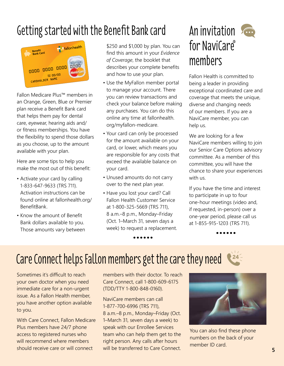### Getting started with the Benefit Bank card



Fallon Medicare Plus™ members in an Orange, Green, Blue or Premier plan receive a Benefit Bank card that helps them pay for dental care, eyewear, hearing aids and/ or fitness memberships. You have the flexibility to spend those dollars as you choose, up to the amount available with your plan.

Here are some tips to help you make the most out of this benefit:

- Activate your card by calling 1-833-647-9633 (TRS 711). Activation instructions can be found online at fallonhealth.org/ BenefitBank.
- Know the amount of Benefit Bank dollars available to you. Those amounts vary between

\$250 and \$1,000 by plan. You can find this amount in your *Evidence of Coverage*, the booklet that describes your complete benefits and how to use your plan.

- Use the MyFallon member portal to manage your account. There you can review transactions and check your balance before making any purchases. You can do this online any time at fallonhealth. org/myfallon-medicare.
- Your card can only be processed for the amount available on your card, or lower, which means you are responsible for any costs that exceed the available balance on your card.
- Unused amounts do not carry over to the next plan year.
- Have you lost your card? Call Fallon Health Customer Service at 1-800-325-5669 (TRS 711), 8 a.m.–8 p.m., Monday–Friday (Oct. 1–March 31, seven days a week) to request a replacement.<br>**••••••**

### An invitation for NaviCare® members

Fallon Health is committed to being a leader in providing exceptional coordinated care and coverage that meets the unique, diverse and changing needs of our members. If you are a NaviCare member, you can help us.

We are looking for a few NaviCare members willing to join our Senior Care Options advisory committee. As a member of this committee, you will have the chance to share your experiences with us.

If you have the time and interest to participate in up to four one-hour meetings (video and, if requested, in-person) over a one-year period, please call us at 1-855-915-1203 (TRS 711).

**......**

 $24 -$ 

# Care Connect helps Fallon members get the care they need

Sometimes it's difficult to reach your own doctor when you need immediate care for a non-urgent issue. As a Fallon Health member, you have another option available to you.

With Care Connect, Fallon Medicare Plus members have 24/7 phone access to registered nurses who will recommend where members should receive care or will connect

members with their doctor. To reach Care Connect, call 1-800-609-6175 (TDD/TTY 1-800-848-0160).

NaviCare members can call 1-877-700-6996 (TRS 711), 8 a.m.–8 p.m., Monday–Friday (Oct. 1–March 31, seven days a week) to speak with our Enrollee Services team who can help them get to the right person. Any calls after hours will be transferred to Care Connect.



You can also find these phone numbers on the back of your member ID card.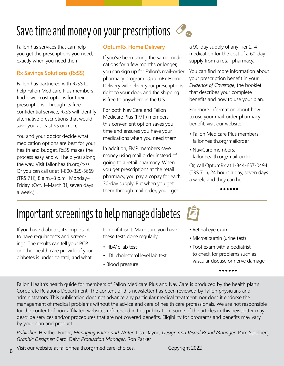

Fallon has services that can help you get the prescriptions you need, exactly when you need them.

#### **Rx Savings Solutions (RxSS)**

Fallon has partnered with RxSS to help Fallon Medicare Plus members find lower-cost options for their prescriptions. Through its free, confidential service, RxSS will identify alternative prescriptions that would save you at least \$5 or more.

You and your doctor decide what medication options are best for your health and budget. RxSS makes the process easy and will help you along the way. Visit fallonhealth.org/rxss. Or you can call us at 1-800-325-5669 (TRS 711), 8 a.m.–8 p.m., Monday– Friday. (Oct. 1–March 31, seven days a week.)

#### **OptumRx Home Delivery**

If you've been taking the same medications for a few months or longer, you can sign up for Fallon's mail-order pharmacy program. OptumRx Home Delivery will deliver your prescriptions right to your door, and the shipping is free to anywhere in the U.S.

For both NaviCare and Fallon Medicare Plus (FMP) members, this convenient option saves you time and ensures you have your medications when you need them.

In addition, FMP members save money using mail order instead of going to a retail pharmacy. When you get prescriptions at the retail pharmacy, you pay a copay for each 30-day supply. But when you get them through mail order, you'll get

a 90-day supply of any Tier 2–4 medication for the cost of a 60-day supply from a retail pharmacy.

You can find more information about your prescription benefit in your *Evidence of Coverage*, the booklet that describes your complete benefits and how to use your plan.

For more information about how to use your mail-order pharmacy benefit, visit our website.

- Fallon Medicare Plus members: fallonhealth.org/mailorder
- NaviCare members: fallonhealth.org/mail-order

Or, call OptumRx at 1-844-657-0494 (TRS 711), 24 hours a day, seven days a week, and they can help.<br>**•••••** 

### Important screenings to help manage diabetes

If you have diabetes, it's important to have regular tests and screenings. The results can tell your PCP or other health care provider if your diabetes is under control, and what

to do if it isn't. Make sure you have these tests done regularly:

- HbA1c lab test
- LDL cholesterol level lab test
- Blood pressure
- Retinal eye exam
- Microalbumin (urine test)
- Foot exam with a podiatrist to check for problems such as vascular disease or nerve damage

**......**

Fallon Health's health guide for members of Fallon Medicare Plus and NaviCare is produced by the health plan's Corporate Relations Department. The content of this newsletter has been reviewed by Fallon physicians and administrators. This publication does not advance any particular medical treatment, nor does it endorse the management of medical problems without the advice and care of health care professionals. We are not responsible for the content of non-affiliated websites referenced in this publication. Some of the articles in this newsletter may describe services and/or procedures that are not covered benefits. Eligibility for programs and benefits may vary by your plan and product.

*Publisher:* Heather Porter; *Managing Editor and Writer:* Lisa Dayne; *Design and Visual Brand Manager:* Pam Spielberg; *Graphic Designer:* Carol Daly; *Production Manager:* Ron Parker

Visit our website at fallonhealth.org/medicare-choices. Copyright 2022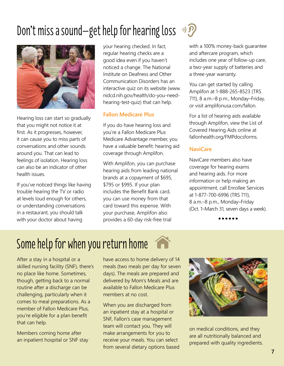# Don't miss a sound—get help for hearing loss  $\mathcal{D}$



Hearing loss can start so gradually that you might not notice it at first. As it progresses, however, it can cause you to miss parts of conversations and other sounds around you. That can lead to feelings of isolation. Hearing loss can also be an indicator of other health issues.

If you've noticed things like having trouble hearing the TV or radio at levels loud enough for others, or understanding conversations in a restaurant, you should talk with your doctor about having

your hearing checked. In fact, regular hearing checks are a good idea even if you haven't noticed a change. The National Institute on Deafness and Other Communication Disorders has an interactive quiz on its website (www. nidcd.nih.gov/health/do-you-needhearing-test-quiz) that can help.

#### **Fallon Medicare Plus**

If you do have hearing loss and you're a Fallon Medicare Plus Medicare Advantage member, you have a valuable benefit: hearing aid coverage through Amplifon.

With Amplifon, you can purchase hearing aids from leading national brands at a copayment of \$695, \$795 or \$995. If your plan includes the Benefit Bank card, you can use money from that card toward this expense. With your purchase, Amplifon also provides a 60-day risk-free trial

with a 100% money-back guarantee and aftercare program, which includes one year of follow-up care, a two-year supply of batteries and a three-year warranty.

You can get started by calling Amplifon at 1-888-265-8523 (TRS 711), 8 a.m.–8 p.m., Monday–Friday, or visit amplifonusa.com/fallon.

For a list of hearing aids available through Amplifon, view the List of Covered Hearing Aids online at fallonhealth.org/FMPdocsforms.

### **NaviCare**

NaviCare members also have coverage for hearing exams and hearing aids. For more information or help making an appointment, call Enrollee Services at 1-877-700-6996 (TRS 711), 8 a.m.–8 p.m., Monday–Friday Oct. 1–March 31, seven days a week).<br>**••••••** 

# Some help for when you return home

After a stay in a hospital or a skilled nursing facility (SNF), there's no place like home. Sometimes, though, getting back to a normal routine after a discharge can be challenging, particularly when it comes to meal preparations. As a member of Fallon Medicare Plus, you're eligible for a plan benefit that can help.

Members coming home after an inpatient hospital or SNF stay have access to home delivery of 14 meals (two meals per day for seven days). The meals are prepared and delivered by Mom's Meals and are available to Fallon Medicare Plus members at no cost.

When you are discharged from an inpatient stay at a hospital or SNF, Fallon's case management team will contact you. They will make arrangements for you to receive your meals. You can select from several dietary options based



on medical conditions, and they are all nutritionally balanced and prepared with quality ingredients.